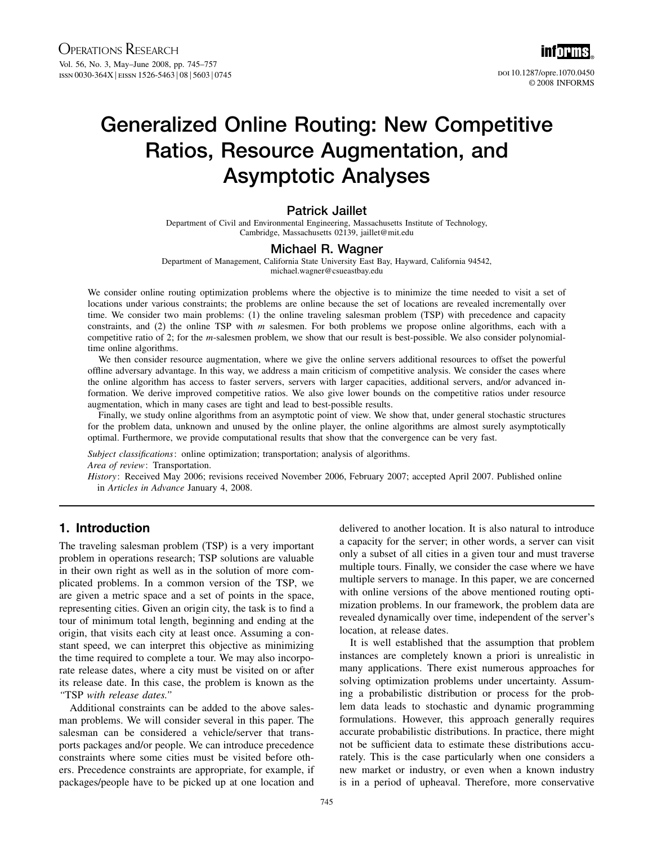inf<mark>or</mark>ms DOI 10.1287/opre.1070.0450 © 2008 INFORMS

# Generalized Online Routing: New Competitive Ratios, Resource Augmentation, and Asymptotic Analyses

# Patrick Jaillet

Department of Civil and Environmental Engineering, Massachusetts Institute of Technology, Cambridge, Massachusetts 02139, jaillet@mit.edu

## Michael R. Wagner

Department of Management, California State University East Bay, Hayward, California 94542, michael.wagner@csueastbay.edu

We consider online routing optimization problems where the objective is to minimize the time needed to visit a set of locations under various constraints; the problems are online because the set of locations are revealed incrementally over time. We consider two main problems: (1) the online traveling salesman problem (TSP) with precedence and capacity constraints, and (2) the online TSP with  $m$  salesmen. For both problems we propose online algorithms, each with a competitive ratio of 2; for the m-salesmen problem, we show that our result is best-possible. We also consider polynomialtime online algorithms.

We then consider resource augmentation, where we give the online servers additional resources to offset the powerful offline adversary advantage. In this way, we address a main criticism of competitive analysis. We consider the cases where the online algorithm has access to faster servers, servers with larger capacities, additional servers, and/or advanced information. We derive improved competitive ratios. We also give lower bounds on the competitive ratios under resource augmentation, which in many cases are tight and lead to best-possible results.

Finally, we study online algorithms from an asymptotic point of view. We show that, under general stochastic structures for the problem data, unknown and unused by the online player, the online algorithms are almost surely asymptotically optimal. Furthermore, we provide computational results that show that the convergence can be very fast.

Subject classifications: online optimization; transportation; analysis of algorithms.

Area of review: Transportation.

History: Received May 2006; revisions received November 2006, February 2007; accepted April 2007. Published online in Articles in Advance January 4, 2008.

# 1. Introduction

The traveling salesman problem (TSP) is a very important problem in operations research; TSP solutions are valuable in their own right as well as in the solution of more complicated problems. In a common version of the TSP, we are given a metric space and a set of points in the space, representing cities. Given an origin city, the task is to find a tour of minimum total length, beginning and ending at the origin, that visits each city at least once. Assuming a constant speed, we can interpret this objective as minimizing the time required to complete a tour. We may also incorporate release dates, where a city must be visited on or after its release date. In this case, the problem is known as the "TSP with release dates."

Additional constraints can be added to the above salesman problems. We will consider several in this paper. The salesman can be considered a vehicle/server that transports packages and/or people. We can introduce precedence constraints where some cities must be visited before others. Precedence constraints are appropriate, for example, if packages/people have to be picked up at one location and delivered to another location. It is also natural to introduce a capacity for the server; in other words, a server can visit only a subset of all cities in a given tour and must traverse multiple tours. Finally, we consider the case where we have multiple servers to manage. In this paper, we are concerned with online versions of the above mentioned routing optimization problems. In our framework, the problem data are revealed dynamically over time, independent of the server's location, at release dates.

It is well established that the assumption that problem instances are completely known a priori is unrealistic in many applications. There exist numerous approaches for solving optimization problems under uncertainty. Assuming a probabilistic distribution or process for the problem data leads to stochastic and dynamic programming formulations. However, this approach generally requires accurate probabilistic distributions. In practice, there might not be sufficient data to estimate these distributions accurately. This is the case particularly when one considers a new market or industry, or even when a known industry is in a period of upheaval. Therefore, more conservative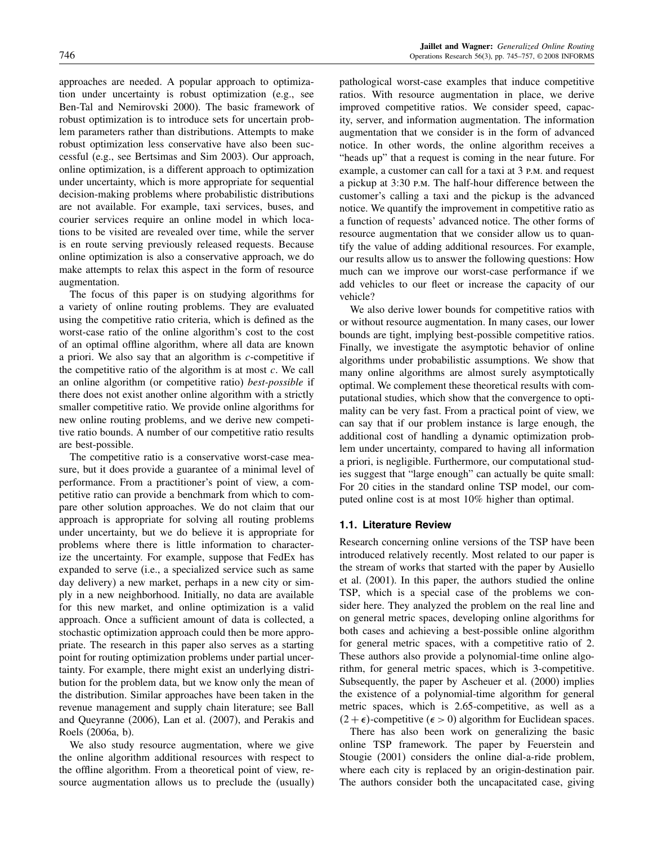approaches are needed. A popular approach to optimization under uncertainty is robust optimization (e.g., see Ben-Tal and Nemirovski 2000). The basic framework of robust optimization is to introduce sets for uncertain problem parameters rather than distributions. Attempts to make robust optimization less conservative have also been successful (e.g., see Bertsimas and Sim 2003). Our approach, online optimization, is a different approach to optimization under uncertainty, which is more appropriate for sequential decision-making problems where probabilistic distributions are not available. For example, taxi services, buses, and courier services require an online model in which locations to be visited are revealed over time, while the server is en route serving previously released requests. Because online optimization is also a conservative approach, we do make attempts to relax this aspect in the form of resource augmentation.

The focus of this paper is on studying algorithms for a variety of online routing problems. They are evaluated using the competitive ratio criteria, which is defined as the worst-case ratio of the online algorithm's cost to the cost of an optimal offline algorithm, where all data are known a priori. We also say that an algorithm is  $c$ -competitive if the competitive ratio of the algorithm is at most  $c$ . We call an online algorithm (or competitive ratio) best-possible if there does not exist another online algorithm with a strictly smaller competitive ratio. We provide online algorithms for new online routing problems, and we derive new competitive ratio bounds. A number of our competitive ratio results are best-possible.

The competitive ratio is a conservative worst-case measure, but it does provide a guarantee of a minimal level of performance. From a practitioner's point of view, a competitive ratio can provide a benchmark from which to compare other solution approaches. We do not claim that our approach is appropriate for solving all routing problems under uncertainty, but we do believe it is appropriate for problems where there is little information to characterize the uncertainty. For example, suppose that FedEx has expanded to serve (i.e., a specialized service such as same day delivery) a new market, perhaps in a new city or simply in a new neighborhood. Initially, no data are available for this new market, and online optimization is a valid approach. Once a sufficient amount of data is collected, a stochastic optimization approach could then be more appropriate. The research in this paper also serves as a starting point for routing optimization problems under partial uncertainty. For example, there might exist an underlying distribution for the problem data, but we know only the mean of the distribution. Similar approaches have been taken in the revenue management and supply chain literature; see Ball and Queyranne (2006), Lan et al. (2007), and Perakis and Roels (2006a, b).

We also study resource augmentation, where we give the online algorithm additional resources with respect to the offline algorithm. From a theoretical point of view, resource augmentation allows us to preclude the (usually) pathological worst-case examples that induce competitive ratios. With resource augmentation in place, we derive improved competitive ratios. We consider speed, capacity, server, and information augmentation. The information augmentation that we consider is in the form of advanced notice. In other words, the online algorithm receives a "heads up" that a request is coming in the near future. For example, a customer can call for a taxi at 3 p.m. and request a pickup at 3:30 p.m. The half-hour difference between the customer's calling a taxi and the pickup is the advanced notice. We quantify the improvement in competitive ratio as a function of requests' advanced notice. The other forms of resource augmentation that we consider allow us to quantify the value of adding additional resources. For example, our results allow us to answer the following questions: How much can we improve our worst-case performance if we add vehicles to our fleet or increase the capacity of our vehicle?

We also derive lower bounds for competitive ratios with or without resource augmentation. In many cases, our lower bounds are tight, implying best-possible competitive ratios. Finally, we investigate the asymptotic behavior of online algorithms under probabilistic assumptions. We show that many online algorithms are almost surely asymptotically optimal. We complement these theoretical results with computational studies, which show that the convergence to optimality can be very fast. From a practical point of view, we can say that if our problem instance is large enough, the additional cost of handling a dynamic optimization problem under uncertainty, compared to having all information a priori, is negligible. Furthermore, our computational studies suggest that "large enough" can actually be quite small: For 20 cities in the standard online TSP model, our computed online cost is at most 10% higher than optimal.

#### 1.1. Literature Review

Research concerning online versions of the TSP have been introduced relatively recently. Most related to our paper is the stream of works that started with the paper by Ausiello et al. (2001). In this paper, the authors studied the online TSP, which is a special case of the problems we consider here. They analyzed the problem on the real line and on general metric spaces, developing online algorithms for both cases and achieving a best-possible online algorithm for general metric spaces, with a competitive ratio of 2. These authors also provide a polynomial-time online algorithm, for general metric spaces, which is 3-competitive. Subsequently, the paper by Ascheuer et al. (2000) implies the existence of a polynomial-time algorithm for general metric spaces, which is 2.65-competitive, as well as a  $(2 + \epsilon)$ -competitive ( $\epsilon > 0$ ) algorithm for Euclidean spaces.

There has also been work on generalizing the basic online TSP framework. The paper by Feuerstein and Stougie (2001) considers the online dial-a-ride problem, where each city is replaced by an origin-destination pair. The authors consider both the uncapacitated case, giving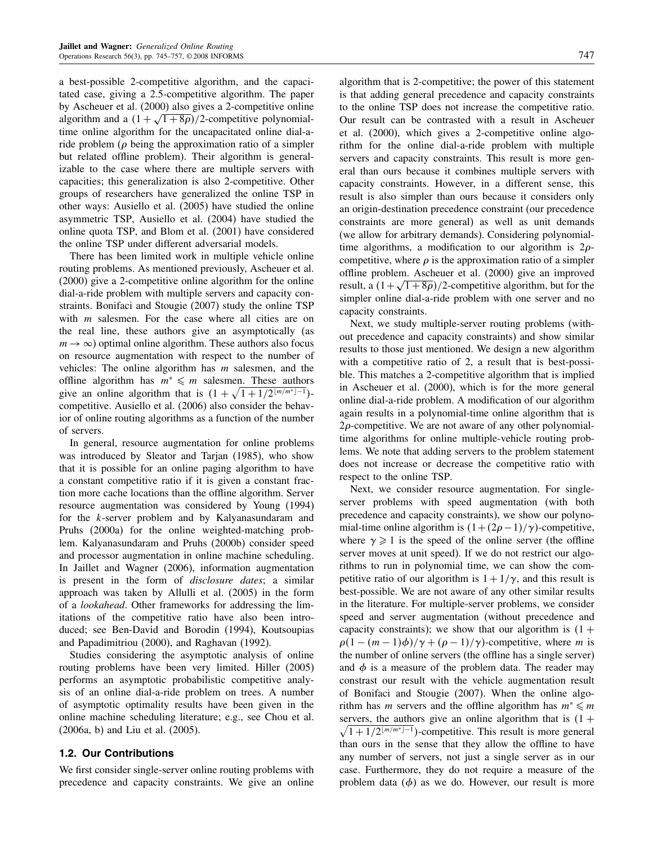a best-possible 2-competitive algorithm, and the capacitated case, giving a 2.5-competitive algorithm. The paper by Ascheuer et al. (2000) also gives a 2-competitive online algorithm and a  $(1 + \sqrt{1 + 8\rho})/2$ -competitive polynomialtime online algorithm for the uncapacitated online dial-aride problem ( $\rho$  being the approximation ratio of a simpler but related offline problem). Their algorithm is generalizable to the case where there are multiple servers with capacities; this generalization is also 2-competitive. Other groups of researchers have generalized the online TSP in other ways: Ausiello et al. (2005) have studied the online asymmetric TSP, Ausiello et al. (2004) have studied the online quota TSP, and Blom et al. (2001) have considered the online TSP under different adversarial models.

There has been limited work in multiple vehicle online routing problems. As mentioned previously, Ascheuer et al. (2000) give a 2-competitive online algorithm for the online dial-a-ride problem with multiple servers and capacity constraints. Bonifaci and Stougie (2007) study the online TSP with  $m$  salesmen. For the case where all cities are on the real line, these authors give an asymptotically (as  $m \to \infty$ ) optimal online algorithm. These authors also focus on resource augmentation with respect to the number of vehicles: The online algorithm has  $m$  salesmen, and the offline algorithm has  $m^* \leq m$  salesmen. These authors give an online algorithm that is  $(1 + \sqrt{1 + 1/2^{\lfloor m/m^* \rfloor - 1}})$ competitive. Ausiello et al. (2006) also consider the behavior of online routing algorithms as a function of the number of servers.

In general, resource augmentation for online problems was introduced by Sleator and Tarjan (1985), who show that it is possible for an online paging algorithm to have a constant competitive ratio if it is given a constant fraction more cache locations than the offline algorithm. Server resource augmentation was considered by Young (1994) for the k-server problem and by Kalyanasundaram and Pruhs (2000a) for the online weighted-matching problem. Kalyanasundaram and Pruhs (2000b) consider speed and processor augmentation in online machine scheduling. In Jaillet and Wagner (2006), information augmentation is present in the form of disclosure dates; a similar approach was taken by Allulli et al. (2005) in the form of a lookahead. Other frameworks for addressing the limitations of the competitive ratio have also been introduced; see Ben-David and Borodin (1994), Koutsoupias and Papadimitriou (2000), and Raghavan (1992).

Studies considering the asymptotic analysis of online routing problems have been very limited. Hiller (2005) performs an asymptotic probabilistic competitive analysis of an online dial-a-ride problem on trees. A number of asymptotic optimality results have been given in the online machine scheduling literature; e.g., see Chou et al. (2006a, b) and Liu et al. (2005).

# 1.2. Our Contributions

We first consider single-server online routing problems with precedence and capacity constraints. We give an online

algorithm that is 2-competitive; the power of this statement is that adding general precedence and capacity constraints to the online TSP does not increase the competitive ratio. Our result can be contrasted with a result in Ascheuer et al. (2000), which gives a 2-competitive online algorithm for the online dial-a-ride problem with multiple servers and capacity constraints. This result is more general than ours because it combines multiple servers with capacity constraints. However, in a different sense, this result is also simpler than ours because it considers only an origin-destination precedence constraint (our precedence constraints are more general) as well as unit demands (we allow for arbitrary demands). Considering polynomialtime algorithms, a modification to our algorithm is  $2\rho$ competitive, where  $\rho$  is the approximation ratio of a simpler offline problem. Ascheuer et al. (2000) give an improved result, a  $(1+\sqrt{1+8\rho})/2$ -competitive algorithm, but for the simpler online dial-a-ride problem with one server and no capacity constraints.

Next, we study multiple-server routing problems (without precedence and capacity constraints) and show similar results to those just mentioned. We design a new algorithm with a competitive ratio of 2, a result that is best-possible. This matches a 2-competitive algorithm that is implied in Ascheuer et al. (2000), which is for the more general online dial-a-ride problem. A modification of our algorithm again results in a polynomial-time online algorithm that is  $2\rho$ -competitive. We are not aware of any other polynomialtime algorithms for online multiple-vehicle routing problems. We note that adding servers to the problem statement does not increase or decrease the competitive ratio with respect to the online TSP.

Next, we consider resource augmentation. For singleserver problems with speed augmentation (with both precedence and capacity constraints), we show our polynomial-time online algorithm is  $(1+(2\rho-1)/\gamma)$ -competitive, where  $\gamma \geq 1$  is the speed of the online server (the offline server moves at unit speed). If we do not restrict our algorithms to run in polynomial time, we can show the competitive ratio of our algorithm is  $1 + 1/\gamma$ , and this result is best-possible. We are not aware of any other similar results in the literature. For multiple-server problems, we consider speed and server augmentation (without precedence and capacity constraints); we show that our algorithm is  $(1 +$  $\rho(1 - (m-1)\phi)/\gamma + (\rho - 1)/\gamma$ )-competitive, where m is the number of online servers (the offline has a single server) and  $\phi$  is a measure of the problem data. The reader may constrast our result with the vehicle augmentation result of Bonifaci and Stougie (2007). When the online algorithm has *m* servers and the offline algorithm has  $m^* \le m$ servers, the authors give an online algorithm that is  $(1 +$  $\sqrt{1 + 1/2^{\lfloor m/m^* \rfloor - 1}}$ -competitive. This result is more general than ours in the sense that they allow the offline to have any number of servers, not just a single server as in our case. Furthermore, they do not require a measure of the problem data  $(\phi)$  as we do. However, our result is more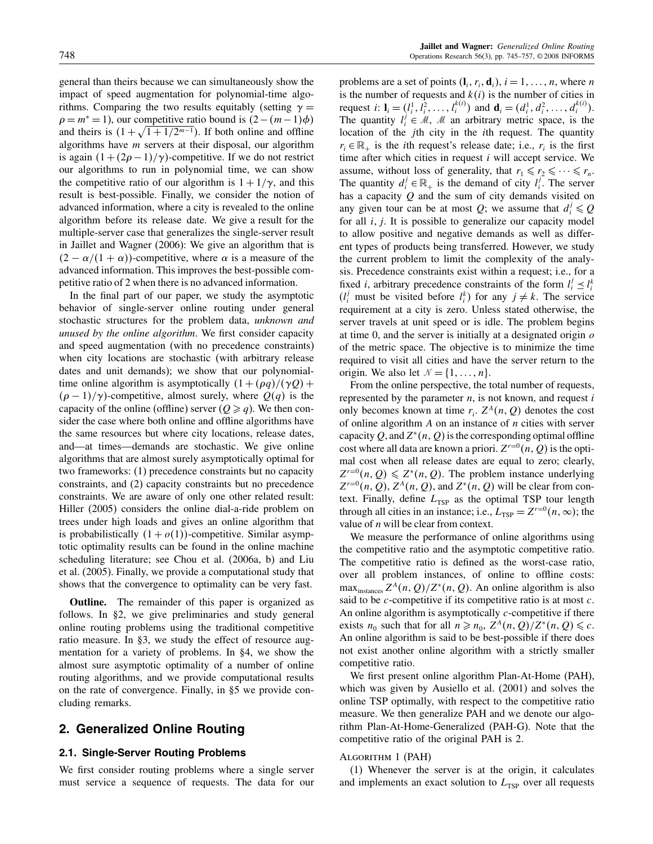general than theirs because we can simultaneously show the impact of speed augmentation for polynomial-time algorithms. Comparing the two results equitably (setting  $\gamma =$  $\rho = m^* = 1$ ), our competitive ratio bound is  $(2 - (m-1)\phi)$ and theirs is  $(1 + \sqrt{1 + 1/2^{m-1}})$ . If both online and offline algorithms have  $m$  servers at their disposal, our algorithm is again  $(1 + (2\rho - 1)/\gamma)$ -competitive. If we do not restrict our algorithms to run in polynomial time, we can show the competitive ratio of our algorithm is  $1 + 1/\gamma$ , and this result is best-possible. Finally, we consider the notion of advanced information, where a city is revealed to the online algorithm before its release date. We give a result for the multiple-server case that generalizes the single-server result in Jaillet and Wagner (2006): We give an algorithm that is  $(2 - \alpha/(1 + \alpha))$ -competitive, where  $\alpha$  is a measure of the advanced information. This improves the best-possible competitive ratio of 2 when there is no advanced information.

In the final part of our paper, we study the asymptotic behavior of single-server online routing under general stochastic structures for the problem data, unknown and unused by the online algorithm. We first consider capacity and speed augmentation (with no precedence constraints) when city locations are stochastic (with arbitrary release dates and unit demands); we show that our polynomialtime online algorithm is asymptotically  $(1 + (\rho q)/(\gamma Q) +$  $(\rho - 1)/\gamma$ )-competitive, almost surely, where  $Q(q)$  is the capacity of the online (offline) server  $(Q \geq q)$ . We then consider the case where both online and offline algorithms have the same resources but where city locations, release dates, and—at times—demands are stochastic. We give online algorithms that are almost surely asymptotically optimal for two frameworks: (1) precedence constraints but no capacity constraints, and (2) capacity constraints but no precedence constraints. We are aware of only one other related result: Hiller (2005) considers the online dial-a-ride problem on trees under high loads and gives an online algorithm that is probabilistically  $(1 + o(1))$ -competitive. Similar asymptotic optimality results can be found in the online machine scheduling literature; see Chou et al. (2006a, b) and Liu et al. (2005). Finally, we provide a computational study that shows that the convergence to optimality can be very fast.

Outline. The remainder of this paper is organized as follows. In §2, we give preliminaries and study general online routing problems using the traditional competitive ratio measure. In §3, we study the effect of resource augmentation for a variety of problems. In §4, we show the almost sure asymptotic optimality of a number of online routing algorithms, and we provide computational results on the rate of convergence. Finally, in §5 we provide concluding remarks.

# 2. Generalized Online Routing

#### 2.1. Single-Server Routing Problems

We first consider routing problems where a single server must service a sequence of requests. The data for our

problems are a set of points  $(l_i, r_i, d_i)$ ,  $i = 1, \ldots, n$ , where n is the number of requests and  $k(i)$  is the number of cities in request *i*:  $\mathbf{l}_i = (l_i^1, l_i^2, \dots, l_i^{k(i)})$  and  $\mathbf{d}_i = (d_i^1, d_i^2, \dots, d_i^{k(i)})$ . The quantity  $l_i^j \in \mathcal{M}, \mathcal{M}$  an arbitrary metric space, is the location of the jth city in the ith request. The quantity  $r_i \in \mathbb{R}_+$  is the *i*th request's release date; i.e.,  $r_i$  is the first time after which cities in request  $i$  will accept service. We assume, without loss of generality, that  $r_1 \leq r_2 \leq \cdots \leq r_n$ . The quantity  $d_i^j \in \mathbb{R}_+$  is the demand of city  $l_i^j$ . The server has a capacity  $Q$  and the sum of city demands visited on any given tour can be at most Q; we assume that  $d_i^j \leq Q$ for all  $i, j$ . It is possible to generalize our capacity model to allow positive and negative demands as well as different types of products being transferred. However, we study the current problem to limit the complexity of the analysis. Precedence constraints exist within a request; i.e., for a fixed *i*, arbitrary precedence constraints of the form  $l_i^j \leq l_i^k$  $(l_i^j$  must be visited before  $l_i^k$ ) for any  $j \neq k$ . The service requirement at a city is zero. Unless stated otherwise, the server travels at unit speed or is idle. The problem begins at time 0, and the server is initially at a designated origin  $\rho$ of the metric space. The objective is to minimize the time required to visit all cities and have the server return to the origin. We also let  $\mathcal{N} = \{1, \ldots, n\}.$ 

From the online perspective, the total number of requests, represented by the parameter  $n$ , is not known, and request  $i$ only becomes known at time  $r_i$ .  $Z^A(n, Q)$  denotes the cost of online algorithm  $A$  on an instance of  $n$  cities with server capacity Q, and  $Z^*(n, Q)$  is the corresponding optimal offline cost where all data are known a priori.  $Z^{r=0}(n, Q)$  is the optimal cost when all release dates are equal to zero; clearly,  $Z^{r=0}(n, Q) \leq Z^*(n, Q)$ . The problem instance underlying  $Z^{r=0}(n, Q)$ ,  $Z^A(n, Q)$ , and  $Z^*(n, Q)$  will be clear from context. Finally, define  $L_{TSP}$  as the optimal TSP tour length through all cities in an instance; i.e.,  $L_{\text{TSP}} = Z^{r=0}(n, \infty)$ ; the value of  $n$  will be clear from context.

We measure the performance of online algorithms using the competitive ratio and the asymptotic competitive ratio. The competitive ratio is defined as the worst-case ratio, over all problem instances, of online to offline costs:  $\max_{\text{instances}} Z^A(n, Q)/Z^*(n, Q)$ . An online algorithm is also said to be  $c$ -competitive if its competitive ratio is at most  $c$ . An online algorithm is asymptotically  $c$ -competitive if there exists  $n_0$  such that for all  $n \ge n_0$ ,  $Z^A(n, Q)/Z^*(n, Q) \le c$ . An online algorithm is said to be best-possible if there does not exist another online algorithm with a strictly smaller competitive ratio.

We first present online algorithm Plan-At-Home (PAH), which was given by Ausiello et al. (2001) and solves the online TSP optimally, with respect to the competitive ratio measure. We then generalize PAH and we denote our algorithm Plan-At-Home-Generalized (PAH-G). Note that the competitive ratio of the original PAH is 2.

### Algorithm 1 (PAH)

(1) Whenever the server is at the origin, it calculates and implements an exact solution to  $L_{\text{TSP}}$  over all requests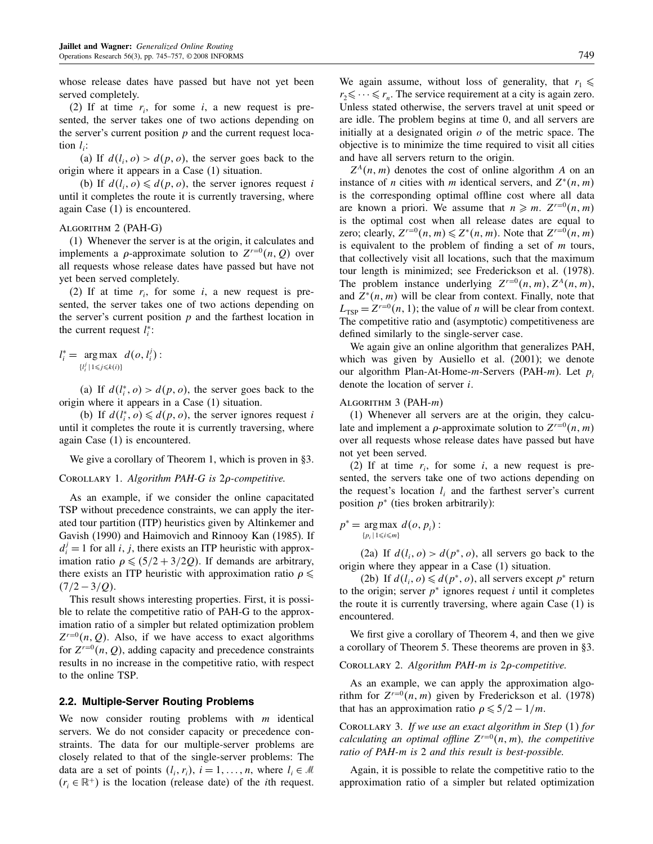whose release dates have passed but have not yet been served completely.

(2) If at time  $r_i$ , for some i, a new request is presented, the server takes one of two actions depending on the server's current position  $p$  and the current request location  $l_i$ :

(a) If  $d(l_i, o) > d(p, o)$ , the server goes back to the origin where it appears in a Case (1) situation.

(b) If  $d(l_i, o) \leq d(p, o)$ , the server ignores request i until it completes the route it is currently traversing, where again Case (1) is encountered.

### Algorithm 2 (PAH-G)

(1) Whenever the server is at the origin, it calculates and implements a  $\rho$ -approximate solution to  $Z^{r=0}(n, Q)$  over all requests whose release dates have passed but have not yet been served completely.

(2) If at time  $r_i$ , for some i, a new request is presented, the server takes one of two actions depending on the server's current position  $p$  and the farthest location in the current request  $l_i^*$ :

 $l_i^* = \arg \max \ d(o, l_i^j)$ :  $\{l_i^j \mid 1 \leq j \leq k(i)\}\$ 

(a) If  $d(l_i^*, o) > d(p, o)$ , the server goes back to the origin where it appears in a Case (1) situation.

(b) If  $d(l_i^*, o) \le d(p, o)$ , the server ignores request *i* until it completes the route it is currently traversing, where again Case (1) is encountered.

We give a corollary of Theorem 1, which is proven in §3.

#### COROLLARY 1. Algorithm PAH-G is  $2\rho$ -competitive.

As an example, if we consider the online capacitated TSP without precedence constraints, we can apply the iterated tour partition (ITP) heuristics given by Altinkemer and Gavish (1990) and Haimovich and Rinnooy Kan (1985). If  $d_i^j = 1$  for all *i*, *j*, there exists an ITP heuristic with approximation ratio  $\rho \leq (5/2 + 3/2Q)$ . If demands are arbitrary, there exists an ITP heuristic with approximation ratio  $\rho \leq$  $(7/2 - 3/Q)$ .

This result shows interesting properties. First, it is possible to relate the competitive ratio of PAH-G to the approximation ratio of a simpler but related optimization problem  $Z^{r=0}(n, Q)$ . Also, if we have access to exact algorithms for  $Z^{r=0}(n, Q)$ , adding capacity and precedence constraints results in no increase in the competitive ratio, with respect to the online TSP.

#### 2.2. Multiple-Server Routing Problems

We now consider routing problems with  $m$  identical servers. We do not consider capacity or precedence constraints. The data for our multiple-server problems are closely related to that of the single-server problems: The data are a set of points  $(l_i, r_i)$ ,  $i = 1, \ldots, n$ , where  $l_i \in \mathcal{M}$  $(r_i \in \mathbb{R}^+)$  is the location (release date) of the *i*th request. We again assume, without loss of generality, that  $r_1 \leq$  $r_2 \leq \cdots \leq r_n$ . The service requirement at a city is again zero. Unless stated otherwise, the servers travel at unit speed or are idle. The problem begins at time 0, and all servers are initially at a designated origin  $\sigma$  of the metric space. The objective is to minimize the time required to visit all cities and have all servers return to the origin.

 $Z<sup>A</sup>(n, m)$  denotes the cost of online algorithm A on an instance of *n* cities with *m* identical servers, and  $Z^*(n, m)$ is the corresponding optimal offline cost where all data are known a priori. We assume that  $n \ge m$ .  $Z^{r=0}(n, m)$ is the optimal cost when all release dates are equal to zero; clearly,  $Z^{r=0}(n, m) \leq Z^{*}(n, m)$ . Note that  $Z^{r=0}(n, m)$ is equivalent to the problem of finding a set of  $m$  tours, that collectively visit all locations, such that the maximum tour length is minimized; see Frederickson et al. (1978). The problem instance underlying  $Z^{r=0}(n, m)$ ,  $Z^A(n, m)$ , and  $Z^*(n, m)$  will be clear from context. Finally, note that  $L_{\text{TSP}} = Z^{r=0}(n, 1)$ ; the value of *n* will be clear from context. The competitive ratio and (asymptotic) competitiveness are defined similarly to the single-server case.

We again give an online algorithm that generalizes PAH, which was given by Ausiello et al. (2001); we denote our algorithm Plan-At-Home- $m$ -Servers (PAH- $m$ ). Let  $p_i$ denote the location of server i.

### Algorithm 3 (PAH-m)

(1) Whenever all servers are at the origin, they calculate and implement a  $\rho$ -approximate solution to  $Z^{r=0}(n, m)$ over all requests whose release dates have passed but have not yet been served.

(2) If at time  $r_i$ , for some i, a new request is presented, the servers take one of two actions depending on the request's location  $l_i$  and the farthest server's current position  $p^*$  (ties broken arbitrarily):

$$
p^* = \underset{\{p_i \mid 1 \leq i \leq m\}}{\arg \max} d(o, p_i):
$$

(2a) If  $d(l_i, o) > d(p^*, o)$ , all servers go back to the origin where they appear in a Case (1) situation.

(2b) If  $d(l_i, o) \le d(p^*, o)$ , all servers except  $p^*$  return to the origin; server  $p^*$  ignores request i until it completes the route it is currently traversing, where again Case (1) is encountered.

We first give a corollary of Theorem 4, and then we give a corollary of Theorem 5. These theorems are proven in §3.

#### COROLLARY 2. Algorithm PAH- $m$  is  $2\rho$ -competitive.

As an example, we can apply the approximation algorithm for  $Z^{r=0}(n, m)$  given by Frederickson et al. (1978) that has an approximation ratio  $\rho \leqslant 5/2 - 1/m$ .

COROLLARY 3. If we use an exact algorithm in Step  $(1)$  for calculating an optimal offline  $Z^{r=0}(n, m)$ , the competitive ratio of PAH-m is 2 and this result is best-possible.

Again, it is possible to relate the competitive ratio to the approximation ratio of a simpler but related optimization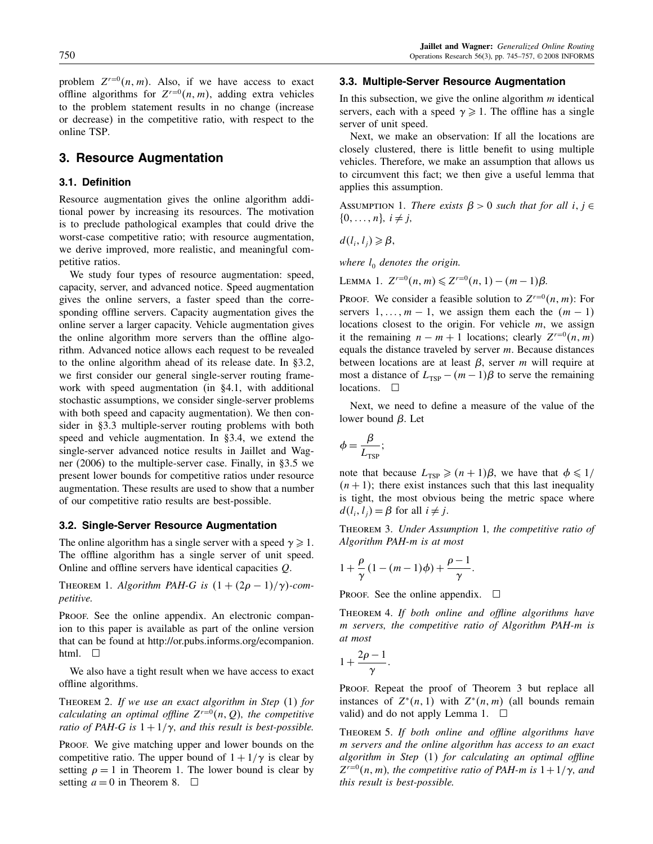problem  $Z^{r=0}(n, m)$ . Also, if we have access to exact offline algorithms for  $Z^{r=0}(n, m)$ , adding extra vehicles to the problem statement results in no change (increase or decrease) in the competitive ratio, with respect to the online TSP.

# 3. Resource Augmentation

#### 3.1. Definition

Resource augmentation gives the online algorithm additional power by increasing its resources. The motivation is to preclude pathological examples that could drive the worst-case competitive ratio; with resource augmentation, we derive improved, more realistic, and meaningful competitive ratios.

We study four types of resource augmentation: speed, capacity, server, and advanced notice. Speed augmentation gives the online servers, a faster speed than the corresponding offline servers. Capacity augmentation gives the online server a larger capacity. Vehicle augmentation gives the online algorithm more servers than the offline algorithm. Advanced notice allows each request to be revealed to the online algorithm ahead of its release date. In §3.2, we first consider our general single-server routing framework with speed augmentation (in §4.1, with additional stochastic assumptions, we consider single-server problems with both speed and capacity augmentation). We then consider in §3.3 multiple-server routing problems with both speed and vehicle augmentation. In §3.4, we extend the single-server advanced notice results in Jaillet and Wagner (2006) to the multiple-server case. Finally, in §3.5 we present lower bounds for competitive ratios under resource augmentation. These results are used to show that a number of our competitive ratio results are best-possible.

#### 3.2. Single-Server Resource Augmentation

The online algorithm has a single server with a speed  $\gamma \geq 1$ . The offline algorithm has a single server of unit speed. Online and offline servers have identical capacities Q.

THEOREM 1. Algorithm PAH-G is  $(1 + (2\rho - 1)/\gamma)$ -competitive.

Proof. See the online appendix. An electronic companion to this paper is available as part of the online version that can be found at http://or.pubs.informs.org/ecompanion. html.  $\square$ 

We also have a tight result when we have access to exact offline algorithms.

THEOREM 2. If we use an exact algorithm in Step  $(1)$  for calculating an optimal offline  $Z^{r=0}(n, Q)$ , the competitive ratio of PAH-G is  $1+1/\gamma$ , and this result is best-possible.

PROOF. We give matching upper and lower bounds on the competitive ratio. The upper bound of  $1 + 1/\gamma$  is clear by setting  $\rho = 1$  in Theorem 1. The lower bound is clear by setting  $a = 0$  in Theorem 8.  $\Box$ 

## 3.3. Multiple-Server Resource Augmentation

In this subsection, we give the online algorithm  $m$  identical servers, each with a speed  $\gamma \geq 1$ . The offline has a single server of unit speed.

Next, we make an observation: If all the locations are closely clustered, there is little benefit to using multiple vehicles. Therefore, we make an assumption that allows us to circumvent this fact; we then give a useful lemma that applies this assumption.

ASSUMPTION 1. There exists  $\beta > 0$  such that for all  $i, j \in$  $\{0, \ldots, n\}, i \neq j,$ 

 $d(l_i, l_j) \geqslant \beta,$ 

where  $l_0$  denotes the origin.

LEMMA 1.  $Z^{r=0}(n, m) \leq Z^{r=0}(n, 1) - (m-1)\beta$ .

PROOF. We consider a feasible solution to  $Z^{r=0}(n, m)$ : For servers 1, ...,  $m - 1$ , we assign them each the  $(m - 1)$ locations closest to the origin. For vehicle  $m$ , we assign it the remaining  $n - m + 1$  locations; clearly  $Z^{r=0}(n, m)$ equals the distance traveled by server  $m$ . Because distances between locations are at least  $\beta$ , server m will require at most a distance of  $L_{TSP} - (m-1)\beta$  to serve the remaining locations.  $\square$ 

Next, we need to define a measure of the value of the lower bound  $\beta$ . Let

$$
\phi = \frac{\beta}{L_{\rm TSP}};
$$

note that because  $L_{\text{TSP}} \geqslant (n+1)\beta$ , we have that  $\phi \leqslant 1/2$  $(n + 1)$ ; there exist instances such that this last inequality is tight, the most obvious being the metric space where  $d(l_i, l_i) = \beta$  for all  $i \neq j$ .

THEOREM 3. Under Assumption 1, the competitive ratio of Algorithm PAH-m is at most

$$
1+\frac{\rho}{\gamma}(1-(m-1)\phi)+\frac{\rho-1}{\gamma}.
$$

PROOF. See the online appendix.  $\square$ 

THEOREM 4. If both online and offline algorithms have m servers, the competitive ratio of Algorithm PAH-m is at most

$$
1+\frac{2\rho-1}{\gamma}.
$$

PROOF. Repeat the proof of Theorem 3 but replace all instances of  $Z^*(n, 1)$  with  $Z^*(n, m)$  (all bounds remain valid) and do not apply Lemma 1.  $\square$ 

THEOREM 5. If both online and offline algorithms have m servers and the online algorithm has access to an exact algorithm in Step (1) for calculating an optimal offline  $Z^{r=0}(n, m)$ , the competitive ratio of PAH-m is  $1+1/\gamma$ , and this result is best-possible.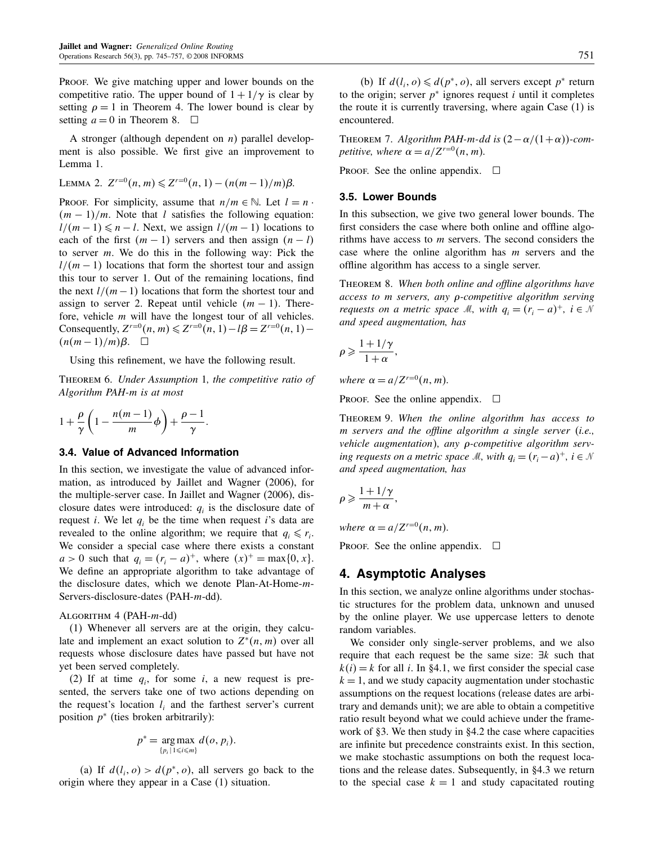PROOF. We give matching upper and lower bounds on the competitive ratio. The upper bound of  $1 + 1/\gamma$  is clear by setting  $\rho = 1$  in Theorem 4. The lower bound is clear by setting  $a = 0$  in Theorem 8.  $\Box$ 

A stronger (although dependent on  $n$ ) parallel development is also possible. We first give an improvement to Lemma 1.

LEMMA 2. 
$$
Z^{r=0}(n, m) \leq Z^{r=0}(n, 1) - (n(m-1)/m)\beta
$$
.

PROOF. For simplicity, assume that  $n/m \in \mathbb{N}$ . Let  $l = n$ .  $(m - 1)/m$ . Note that l satisfies the following equation:  $l/(m-1) \leq n-l$ . Next, we assign  $l/(m-1)$  locations to each of the first  $(m - 1)$  servers and then assign  $(n - l)$ to server m. We do this in the following way: Pick the  $l/(m - 1)$  locations that form the shortest tour and assign this tour to server 1. Out of the remaining locations, find the next  $l/(m-1)$  locations that form the shortest tour and assign to server 2. Repeat until vehicle  $(m - 1)$ . Therefore, vehicle m will have the longest tour of all vehicles. Consequently,  $Z^{r=0}(n, m) \le Z^{r=0}(n, 1)-l\beta = Z^{r=0}(n, 1)-l$  $(n(m-1)/m)\beta$ .  $\Box$ 

Using this refinement, we have the following result.

THEOREM 6. Under Assumption 1, the competitive ratio of Algorithm PAH-m is at most

$$
1+\frac{\rho}{\gamma}\left(1-\frac{n(m-1)}{m}\phi\right)+\frac{\rho-1}{\gamma}.
$$

#### 3.4. Value of Advanced Information

In this section, we investigate the value of advanced information, as introduced by Jaillet and Wagner (2006), for the multiple-server case. In Jaillet and Wagner (2006), disclosure dates were introduced:  $q_i$  is the disclosure date of request *i*. We let  $q_i$  be the time when request *i*'s data are revealed to the online algorithm; we require that  $q_i \le r_i$ . We consider a special case where there exists a constant  $a > 0$  such that  $q_i = (r_i - a)^+$ , where  $(x)^+ = \max\{0, x\}.$ We define an appropriate algorithm to take advantage of the disclosure dates, which we denote Plan-At-Home-m-Servers-disclosure-dates (PAH-m-dd).

#### ALGORITHM 4 (PAH-m-dd)

(1) Whenever all servers are at the origin, they calculate and implement an exact solution to  $Z^*(n, m)$  over all requests whose disclosure dates have passed but have not yet been served completely.

(2) If at time  $q_i$ , for some i, a new request is presented, the servers take one of two actions depending on the request's location  $l_i$  and the farthest server's current position  $p^*$  (ties broken arbitrarily):

$$
p^* = \underset{\{p_i \mid 1 \leq i \leq m\}}{\arg \max} d(o, p_i).
$$

(a) If  $d(l_i, o) > d(p^*, o)$ , all servers go back to the origin where they appear in a Case (1) situation.

(b) If  $d(l_i, o) \le d(p^*, o)$ , all servers except  $p^*$  return to the origin; server  $p^*$  ignores request i until it completes the route it is currently traversing, where again Case (1) is encountered.

THEOREM 7. Algorithm PAH-m-dd is  $(2 - \alpha/(1 + \alpha))$ -competitive, where  $\alpha = a/Z^{r=0}(n, m)$ .

PROOF. See the online appendix.  $\square$ 

### 3.5. Lower Bounds

In this subsection, we give two general lower bounds. The first considers the case where both online and offline algorithms have access to m servers. The second considers the case where the online algorithm has  $m$  servers and the offline algorithm has access to a single server.

Theorem 8. When both online and offline algorithms have  $access to m servers, any p-competitive algorithm serving$ requests on a metric space  $\mathcal{M}$ , with  $q_i = (r_i - a)^+$ ,  $i \in \mathcal{N}$ and speed augmentation, has

$$
\rho \geqslant \frac{1+1/\gamma}{1+\alpha},
$$

where  $\alpha = a/Z^{r=0}(n, m)$ .

PROOF. See the online appendix.  $\square$ 

Theorem 9. When the online algorithm has access to m servers and the offline algorithm a single server (i.e., vehicle augmentation), any  $\rho$ -competitive algorithm serving requests on a metric space  $M$ , with  $q_i = (r_i - a)^+$ ,  $i \in \mathcal{N}$ and speed augmentation, has

$$
\rho \geqslant \frac{1+1/\gamma}{m+\alpha},
$$

where  $\alpha = a/Z^{r=0}(n, m)$ .

PROOF. See the online appendix.  $\square$ 

# 4. Asymptotic Analyses

In this section, we analyze online algorithms under stochastic structures for the problem data, unknown and unused by the online player. We use uppercase letters to denote random variables.

We consider only single-server problems, and we also require that each request be the same size: ∃k such that  $k(i) = k$  for all i. In §4.1, we first consider the special case  $k = 1$ , and we study capacity augmentation under stochastic assumptions on the request locations (release dates are arbitrary and demands unit); we are able to obtain a competitive ratio result beyond what we could achieve under the framework of §3. We then study in §4.2 the case where capacities are infinite but precedence constraints exist. In this section, we make stochastic assumptions on both the request locations and the release dates. Subsequently, in §4.3 we return to the special case  $k = 1$  and study capacitated routing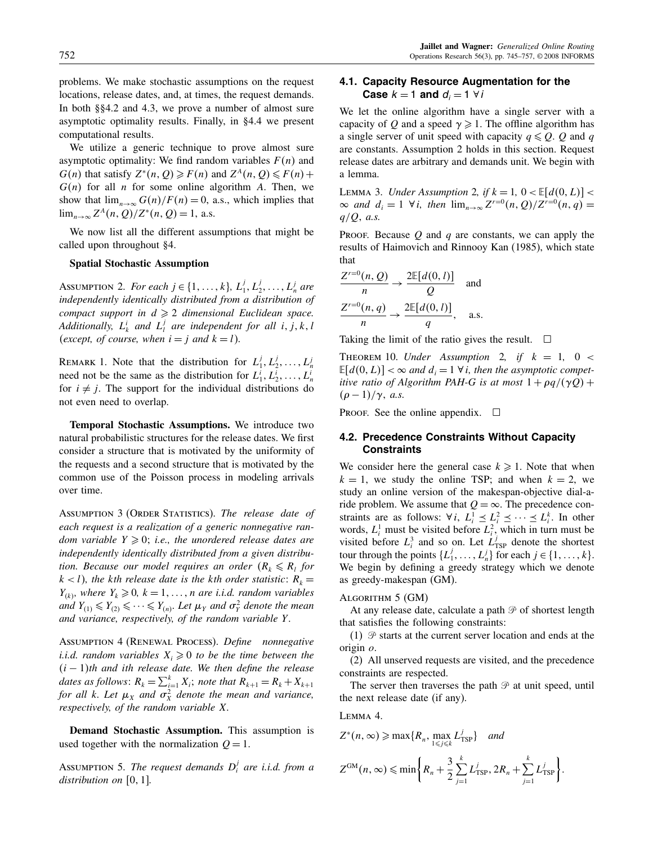problems. We make stochastic assumptions on the request locations, release dates, and, at times, the request demands. In both §§4.2 and 4.3, we prove a number of almost sure asymptotic optimality results. Finally, in §4.4 we present computational results.

We utilize a generic technique to prove almost sure asymptotic optimality: We find random variables  $F(n)$  and  $G(n)$  that satisfy  $Z^*(n, Q) \geq F(n)$  and  $Z^A(n, Q) \leq F(n) +$  $G(n)$  for all *n* for some online algorithm *A*. Then, we show that  $\lim_{n\to\infty} G(n)/F(n) = 0$ , a.s., which implies that  $\lim_{n\to\infty} Z^A(n, Q)/Z^*(n, Q) = 1$ , a.s.

We now list all the different assumptions that might be called upon throughout §4.

## Spatial Stochastic Assumption

ASSUMPTION 2. For each  $j \in \{1, ..., k\}, L_1^j, L_2^j, ..., L_n^j$  are independently identically distributed from a distribution of compact support in  $d \geqslant 2$  dimensional Euclidean space. Additionally,  $L_k^i$  and  $L_l^j$  are independent for all  $i, j, k, l$ (except, of course, when  $i = j$  and  $k = l$ ).

REMARK 1. Note that the distribution for  $L_1^j, L_2^j, \ldots, L_n^j$ need not be the same as the distribution for  $L_1^i, L_2^i, \ldots, L_n^i$ for  $i \neq j$ . The support for the individual distributions do not even need to overlap.

Temporal Stochastic Assumptions. We introduce two natural probabilistic structures for the release dates. We first consider a structure that is motivated by the uniformity of the requests and a second structure that is motivated by the common use of the Poisson process in modeling arrivals over time.

ASSUMPTION 3 (ORDER STATISTICS). The release date of each request is a realization of a generic nonnegative random variable  $Y \geqslant 0$ ; i.e., the unordered release dates are independently identically distributed from a given distribution. Because our model requires an order  $(R_k \le R_l$  for  $k$  < l), the kth release date is the kth order statistic:  $R_k =$  $Y_{(k)}$ , where  $Y_k \geq 0$ ,  $k = 1, ..., n$  are i.i.d. random variables and  $Y_{(1)} \leqslant Y_{(2)} \leqslant \cdots \leqslant Y_{(n)}$ . Let  $\mu_Y$  and  $\sigma_Y^2$  denote the mean and variance, respectively, of the random variable Y.

Assumption 4(Renewal Process). Define nonnegative i.i.d. random variables  $X_i \geqslant 0$  to be the time between the  $(i - 1)$ th and ith release date. We then define the release dates as follows:  $R_k = \sum_{i=1}^k X_i$ ; note that  $R_{k+1} = R_k + X_{k+1}$ for all k. Let  $\mu_X$  and  $\sigma_X^2$  denote the mean and variance, respectively, of the random variable X.

Demand Stochastic Assumption. This assumption is used together with the normalization  $Q = 1$ .

Assumption 5. The request demands  $D_i^j$  are i.i.d. from a distribution on  $[0, 1]$ .

# 4.1. Capacity Resource Augmentation for the Case  $k = 1$  and  $d_i = 1$   $\forall i$

We let the online algorithm have a single server with a capacity of Q and a speed  $\gamma \geq 1$ . The offline algorithm has a single server of unit speed with capacity  $q \leq Q$ . Q and q are constants. Assumption 2 holds in this section. Request release dates are arbitrary and demands unit. We begin with a lemma.

LEMMA 3. Under Assumption 2, if  $k = 1$ ,  $0 < E[d(0, L)]$  <  $\infty$  and  $d_i = 1$   $\forall i$ , then  $\lim_{n \to \infty} Z^{r=0}(n, Q)/Z^{r=0}(n, q) =$  $q/Q$ , a.s.

PROOF. Because  $Q$  and  $q$  are constants, we can apply the results of Haimovich and Rinnooy Kan (1985), which state that

$$
\frac{Z^{r=0}(n, Q)}{n} \to \frac{2\mathbb{E}[d(0, l)]}{Q} \text{ and}
$$

$$
\frac{Z^{r=0}(n, q)}{n} \to \frac{2\mathbb{E}[d(0, l)]}{q}, \text{ a.s.}
$$

Taking the limit of the ratio gives the result.  $\Box$ 

THEOREM 10. Under Assumption 2, if  $k = 1$ , 0 <  $\mathbb{E}[d(0, L)] < \infty$  and  $d_i = 1 \ \forall i$ , then the asymptotic competitive ratio of Algorithm PAH-G is at most  $1 + \rho q/(\gamma Q) +$  $(\rho - 1)/\gamma$ , *a.s.* 

PROOF. See the online appendix.  $\Box$ 

## 4.2. Precedence Constraints Without Capacity **Constraints**

We consider here the general case  $k \geq 1$ . Note that when  $k = 1$ , we study the online TSP; and when  $k = 2$ , we study an online version of the makespan-objective dial-aride problem. We assume that  $Q = \infty$ . The precedence constraints are as follows:  $\forall i, L_i^1 \leq L_i^2 \leq \cdots \leq L_i^k$ . In other words,  $L_i^1$  must be visited before  $L_i^2$ , which in turn must be visited before  $L_i^3$  and so on. Let  $L'_{\text{TSP}}$  denote the shortest tour through the points  $\{L_1^j, \ldots, L_n^j\}$  for each  $j \in \{1, \ldots, k\}$ . We begin by defining a greedy strategy which we denote as greedy-makespan (GM).

## Algorithm 5 (GM)

At any release date, calculate a path  $\mathcal P$  of shortest length that satisfies the following constraints:

(1)  $\mathcal{P}$  starts at the current server location and ends at the origin  $\rho$ .

(2) All unserved requests are visited, and the precedence constraints are respected.

The server then traverses the path  $\mathcal P$  at unit speed, until the next release date (if any).

Lemma 4.

$$
Z^*(n, \infty) \ge \max\{R_n, \max_{1 \le j \le k} L_{\text{TSP}}^j\} \quad \text{and}
$$
  

$$
Z^{\text{GM}}(n, \infty) \le \min\left\{R_n + \frac{3}{2} \sum_{j=1}^k L_{\text{TSP}}^j, 2R_n + \sum_{j=1}^k L_{\text{TSP}}^j\right\}.
$$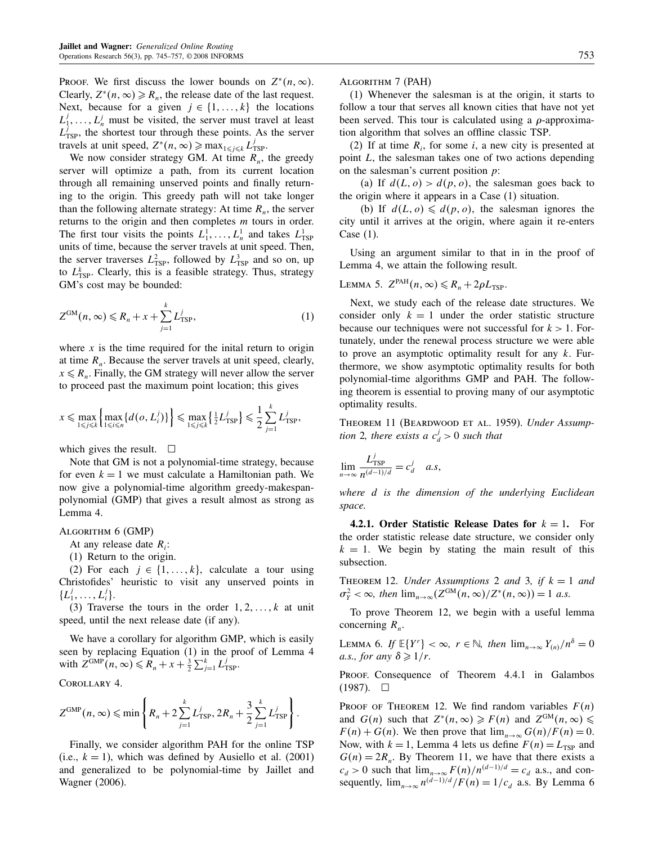PROOF. We first discuss the lower bounds on  $Z^*(n, \infty)$ . Clearly,  $Z^*(n, \infty) \ge R_n$ , the release date of the last request. Next, because for a given  $j \in \{1, ..., k\}$  the locations  $L_1^j, \ldots, L_n^j$  must be visited, the server must travel at least  $L<sub>TSP</sub><sup>j</sup>$ , the shortest tour through these points. As the server travels at unit speed,  $Z^*(n, \infty) \ge \max_{1 \le j \le k} L^j_{\text{TSP}}$ .

We now consider strategy GM. At time  $R_n$ , the greedy server will optimize a path, from its current location through all remaining unserved points and finally returning to the origin. This greedy path will not take longer than the following alternate strategy: At time  $R_n$ , the server returns to the origin and then completes *m* tours in order. The first tour visits the points  $L_1^1, \ldots, L_n^1$  and takes  $L_{\text{TSP}}^1$ units of time, because the server travels at unit speed. Then, the server traverses  $L^2_{\text{TSP}}$ , followed by  $L^3_{\text{TSP}}$  and so on, up to  $L_{\text{TSP}}^k$ . Clearly, this is a feasible strategy. Thus, strategy GM's cost may be bounded:

$$
Z^{\text{GM}}(n,\infty) \le R_n + x + \sum_{j=1}^{k} L_{\text{TSP}}^j,
$$
\n(1)

where  $x$  is the time required for the initial return to origin at time  $R_n$ . Because the server travels at unit speed, clearly,  $x \le R_n$ . Finally, the GM strategy will never allow the server to proceed past the maximum point location; this gives

$$
x \le \max_{1 \le j \le k} \left\{ \max_{1 \le i \le n} \{ d(o, L_i^j) \} \right\} \le \max_{1 \le j \le k} \left\{ \frac{1}{2} L_{\text{TSP}}^j \right\} \le \frac{1}{2} \sum_{j=1}^k L_{\text{TSP}}^j,
$$

which gives the result.  $\square$ 

Note that GM is not a polynomial-time strategy, because for even  $k = 1$  we must calculate a Hamiltonian path. We now give a polynomial-time algorithm greedy-makespanpolynomial (GMP) that gives a result almost as strong as Lemma 4.

Algorithm 6 (GMP)

At any release date  $R_i$ :

(1) Return to the origin.

(2) For each  $j \in \{1, ..., k\}$ , calculate a tour using Christofides' heuristic to visit any unserved points in  $\{L^{j}_{1}, \ldots, L^{j}_{i}\}.$ 

(3) Traverse the tours in the order  $1, 2, \ldots, k$  at unit speed, until the next release date (if any).

We have a corollary for algorithm GMP, which is easily seen by replacing Equation (1) in the proof of Lemma 4 with  $Z^{GMP}(n, \infty) \le R_n + x + \frac{3}{2} \sum_{j=1}^k L_{\text{TSP}}^j$ .

Corollary 4.

$$
Z^{\text{GMP}}(n,\infty) \leqslant \min\left\{R_n + 2\sum_{j=1}^k L_{\text{TSP}}^j, 2R_n + \frac{3}{2}\sum_{j=1}^k L_{\text{TSP}}^j\right\}.
$$

Finally, we consider algorithm PAH for the online TSP (i.e.,  $k = 1$ ), which was defined by Ausiello et al. (2001) and generalized to be polynomial-time by Jaillet and Wagner (2006).

#### Algorithm 7 (PAH)

(1) Whenever the salesman is at the origin, it starts to follow a tour that serves all known cities that have not yet been served. This tour is calculated using a  $\rho$ -approximation algorithm that solves an offline classic TSP.

(2) If at time  $R_i$ , for some i, a new city is presented at point L, the salesman takes one of two actions depending on the salesman's current position  $p$ :

(a) If  $d(L, o) > d(p, o)$ , the salesman goes back to the origin where it appears in a Case (1) situation.

(b) If  $d(L, o) \leq d(p, o)$ , the salesman ignores the city until it arrives at the origin, where again it re-enters Case (1).

Using an argument similar to that in in the proof of Lemma 4, we attain the following result.

LEMMA 5.  $Z^{\text{PAH}}(n, \infty) \leq R_n + 2\rho L_{\text{TSP}}$ .

Next, we study each of the release date structures. We consider only  $k = 1$  under the order statistic structure because our techniques were not successful for  $k > 1$ . Fortunately, under the renewal process structure we were able to prove an asymptotic optimality result for any  $k$ . Furthermore, we show asymptotic optimality results for both polynomial-time algorithms GMP and PAH. The following theorem is essential to proving many of our asymptotic optimality results.

THEOREM 11 (BEARDWOOD ET AL. 1959). Under Assumption 2, there exists a  $c_d^j > 0$  such that

$$
\lim_{n \to \infty} \frac{L_{\text{TSP}}^j}{n^{(d-1)/d}} = c_d^j \quad a.s,
$$

where d is the dimension of the underlying Euclidean space.

**4.2.1. Order Statistic Release Dates for**  $k = 1$ **.** For the order statistic release date structure, we consider only  $k = 1$ . We begin by stating the main result of this subsection.

THEOREM 12. Under Assumptions 2 and 3, if  $k = 1$  and  $\sigma_Y^2 < \infty$ , then  $\lim_{n\to\infty} (Z^{\text{GM}}(n,\infty)/Z^*(n,\infty)) = 1$  a.s.

To prove Theorem 12, we begin with a useful lemma concerning  $R_n$ .

LEMMA 6. If  $\mathbb{E}\{Y^r\} < \infty$ ,  $r \in \mathbb{N}$ , then  $\lim_{n \to \infty} Y_{(n)}/n^{\delta} = 0$ a.s., for any  $\delta \geqslant 1/r$ .

PROOF. Consequence of Theorem 4.4.1 in Galambos  $(1987)$ .  $\Box$ 

PROOF OF THEOREM 12. We find random variables  $F(n)$ and  $G(n)$  such that  $Z^*(n, \infty) \geq F(n)$  and  $Z^{GM}(n, \infty) \leq$  $F(n) + G(n)$ . We then prove that  $\lim_{n \to \infty} G(n)/F(n) = 0$ . Now, with  $k = 1$ , Lemma 4 lets us define  $F(n) = L_{TSP}$  and  $G(n) = 2R_n$ . By Theorem 11, we have that there exists a  $c_d > 0$  such that  $\lim_{n \to \infty} F(n)/n^{(d-1)/d} = c_d$  a.s., and consequently,  $\lim_{n\to\infty} n^{(d-1)/d}/F(n) = 1/c_d$  a.s. By Lemma 6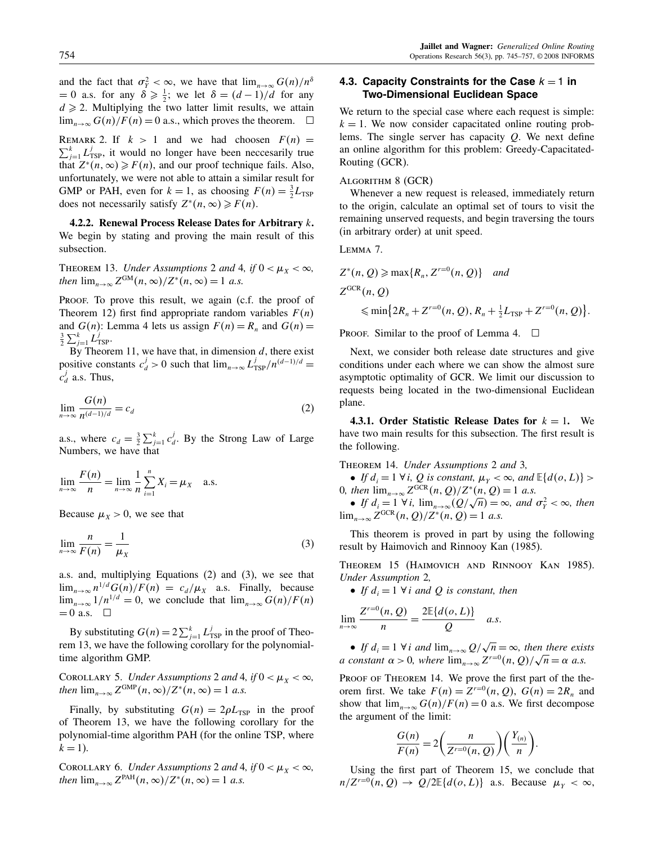and the fact that  $\sigma_Y^2 < \infty$ , we have that  $\lim_{n \to \infty} \frac{G(n)}{n^{\delta}}$  $= 0$  a.s. for any  $\delta \ge \frac{1}{2}$ ; we let  $\delta = (d-1)/d$  for any  $d \geq 2$ . Multiplying the two latter limit results, we attain  $\lim_{n\to\infty} G(n)/F(n) = 0$  a.s., which proves the theorem.  $\Box$ 

REMARK 2. If  $k > 1$  and we had choosen  $F(n) = \sum_{j=1}^{k} L_{\text{ISP}}^j$ , it would no longer have been necessarily true that  $Z^*(n, \infty) \geq F(n)$ , and our proof technique fails. Also, unfortunately, we were not able to attain a similar result for GMP or PAH, even for  $k = 1$ , as choosing  $F(n) = \frac{3}{2}L_{\text{TSP}}$ does not necessarily satisfy  $Z^*(n, \infty) \geq F(n)$ .

4.2.2. Renewal Process Release Dates for Arbitrary  $k$ . We begin by stating and proving the main result of this subsection.

THEOREM 13. Under Assumptions 2 and 4, if  $0 < \mu_X < \infty$ , then  $\lim_{n\to\infty} Z^{GM}(n,\infty)/Z^*(n,\infty) = 1$  a.s.

Proof. To prove this result, we again (c.f. the proof of Theorem 12) first find appropriate random variables  $F(n)$ and  $G(n)$ : Lemma 4 lets us assign  $F(n) = R_n$  and  $G(n) =$  $\frac{3}{2} \sum_{j=1}^{k} L_{\text{TSP}}^j$ .

By Theorem 11, we have that, in dimension  $d$ , there exist positive constants  $c_d^j > 0$  such that  $\lim_{n \to \infty} L_{\text{TSP}}^j / n^{(d-1)/d} =$  $c_d^j$  a.s. Thus,

$$
\lim_{n \to \infty} \frac{G(n)}{n^{(d-1)/d}} = c_d \tag{2}
$$

a.s., where  $c_d = \frac{3}{2} \sum_{j=1}^{k} c_d^j$ . By the Strong Law of Large Numbers, we have that

$$
\lim_{n \to \infty} \frac{F(n)}{n} = \lim_{n \to \infty} \frac{1}{n} \sum_{i=1}^{n} X_i = \mu_X \quad \text{a.s.}
$$

Because  $\mu_X > 0$ , we see that

$$
\lim_{n \to \infty} \frac{n}{F(n)} = \frac{1}{\mu_X} \tag{3}
$$

a.s. and, multiplying Equations (2) and (3), we see that  $\lim_{n\to\infty} n^{1/d} G(n)/F(n) = c_d/\mu_X$  a.s. Finally, because  $\lim_{n\to\infty} 1/n^{1/d} = 0$ , we conclude that  $\lim_{n\to\infty} G(n)/F(n)$  $= 0$  a.s.  $\Box$ 

By substituting  $G(n) = 2 \sum_{j=1}^{k} L_{\text{TSP}}^{j}$  in the proof of Theorem 13, we have the following corollary for the polynomialtime algorithm GMP.

COROLLARY 5. Under Assumptions 2 and 4, if  $0 < \mu_X < \infty$ , then  $\lim_{n\to\infty} Z^{\text{GMP}}(n, \infty) / Z^*(n, \infty) = 1$  a.s.

Finally, by substituting  $G(n) = 2\rho L_{TSP}$  in the proof of Theorem 13, we have the following corollary for the polynomial-time algorithm PAH (for the online TSP, where  $k = 1$ ).

COROLLARY 6. Under Assumptions 2 and 4, if  $0 < \mu_X < \infty$ , then  $\lim_{n\to\infty} Z^{\text{PAH}}(n,\infty)/Z^*(n,\infty) = 1$  a.s.

## 4.3. Capacity Constraints for the Case  $k = 1$  in Two-Dimensional Euclidean Space

We return to the special case where each request is simple:  $k = 1$ . We now consider capacitated online routing problems. The single server has capacity  $Q$ . We next define an online algorithm for this problem: Greedy-Capacitated-Routing (GCR).

### Algorithm 8 (GCR)

Whenever a new request is released, immediately return to the origin, calculate an optimal set of tours to visit the remaining unserved requests, and begin traversing the tours (in arbitrary order) at unit speed.

Lemma 7.

$$
Z^{*}(n, Q) \ge \max\{R_{n}, Z^{r=0}(n, Q)\} \text{ and}
$$
  
\n
$$
Z^{GCR}(n, Q)
$$
  
\n
$$
\le \min\{2R_{n} + Z^{r=0}(n, Q), R_{n} + \frac{1}{2}L_{TSP} + Z^{r=0}(n, Q)\}.
$$

PROOF. Similar to the proof of Lemma 4.  $\Box$ 

Next, we consider both release date structures and give conditions under each where we can show the almost sure asymptotic optimality of GCR. We limit our discussion to requests being located in the two-dimensional Euclidean plane.

**4.3.1. Order Statistic Release Dates for**  $k = 1$ . We have two main results for this subsection. The first result is the following.

### Theorem 14. Under Assumptions 2 and 3,

• If  $d_i = 1 \forall i$ , Q is constant,  $\mu_Y < \infty$ , and  $\mathbb{E}{d(o, L)}$  > 0, then  $\lim_{n\to\infty} Z^{\text{GCR}}(n, Q)/Z^*(n, Q) = 1$  a.s.

• If  $d_i = 1 \forall i$ ,  $\lim_{n \to \infty} \left( \frac{Q}{\sqrt{n}} \right) = \infty$ , and  $\sigma_Y^2 < \infty$ , then  $\lim_{n\to\infty} Z^{GCR}(n, Q)/Z^{*}(n, Q) = 1$  a.s.

This theorem is proved in part by using the following result by Haimovich and Rinnooy Kan (1985).

Theorem 15 (Haimovich and Rinnooy Kan 1985). Under Assumption 2,

• If  $d_i = 1$   $\forall i$  and Q is constant, then

$$
\lim_{n\to\infty}\frac{Z^{r=0}(n,Q)}{n}=\frac{2\mathbb{E}\{d(o,L)\}}{Q}\quad a.s.
$$

• If  $d_i = 1 \ \forall i$  and  $\lim_{n \to \infty} \frac{Q}{\sqrt{n}} = \infty$ , then there exists a constant  $\alpha > 0$ , where  $\lim_{n \to \infty} Z^{r=0}(n, Q)/\sqrt{n} = \alpha$  a.s.

PROOF OF THEOREM 14. We prove the first part of the theorem first. We take  $F(n) = Z^{r=0}(n, Q)$ ,  $G(n) = 2R_n$  and show that  $\lim_{n\to\infty} G(n)/F(n) = 0$  a.s. We first decompose the argument of the limit:

$$
\frac{G(n)}{F(n)} = 2\bigg(\frac{n}{Z^{r=0}(n,Q)}\bigg)\bigg(\frac{Y_{(n)}}{n}\bigg).
$$

Using the first part of Theorem 15, we conclude that  $n/Z^{r=0}(n, Q) \rightarrow Q/2\mathbb{E}{d(o, L)}$  a.s. Because  $\mu_Y < \infty$ ,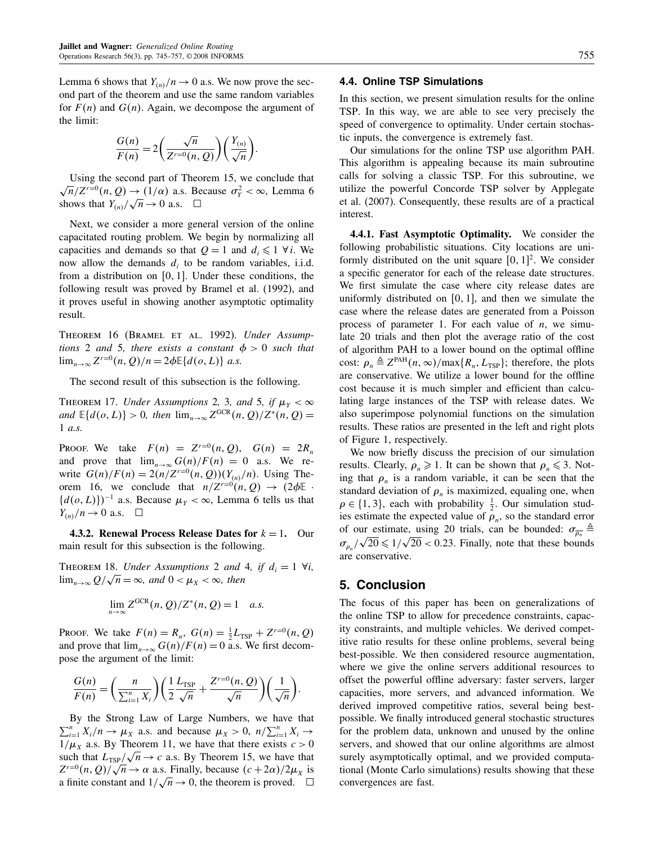Lemma 6 shows that  $Y_{(n)}/n \rightarrow 0$  a.s. We now prove the second part of the theorem and use the same random variables for  $F(n)$  and  $G(n)$ . Again, we decompose the argument of the limit:

$$
\frac{G(n)}{F(n)} = 2\left(\frac{\sqrt{n}}{Z^{r=0}(n, Q)}\right)\left(\frac{Y_{(n)}}{\sqrt{n}}\right).
$$

Using the second part of Theorem 15, we conclude that  $\sqrt{n}/Z^{r=0}(n, Q) \rightarrow (1/\alpha)$  a.s. Because  $\sigma_Y^2 < \infty$ , Lemma 6 shows that  $Y_{(n)}/\sqrt{n} \rightarrow 0$  a.s.  $\square$ 

Next, we consider a more general version of the online capacitated routing problem. We begin by normalizing all capacities and demands so that  $Q = 1$  and  $d_i \leq 1 \forall i$ . We now allow the demands  $d_i$  to be random variables, i.i.d. from a distribution on  $[0, 1]$ . Under these conditions, the following result was proved by Bramel et al. (1992), and it proves useful in showing another asymptotic optimality result.

THEOREM 16 (BRAMEL ET AL. 1992). Under Assumptions 2 and 5, there exists a constant  $\phi > 0$  such that  $\lim_{n\to\infty} Z^{r=0}(n, Q)/n = 2\phi \mathbb{E}{d(o, L)}$  a.s.

The second result of this subsection is the following.

THEOREM 17. Under Assumptions 2, 3, and 5, if  $\mu_Y < \infty$ and  $\mathbb{E}{d(o, L)} > 0$ , then  $\lim_{n\to\infty} Z^{\text{GCR}}(n, Q)/Z^*(n, Q) =$ 1 a.s.

PROOF. We take  $F(n) = Z^{r=0}(n, Q)$ ,  $G(n) = 2R_n$ and prove that  $\lim_{n\to\infty} G(n)/F(n) = 0$  a.s. We rewrite  $G(n)/F(n) = 2(n/Z^{r=0}(n, Q))(Y_{(n)}/n)$ . Using Theorem 16, we conclude that  $n/Z^{r=0}(n, Q) \rightarrow (2\phi \mathbb{E}$ .  $\{d(o, L)\}^{-1}$  a.s. Because  $\mu_Y < \infty$ , Lemma 6 tells us that  $Y_{(n)}/n \rightarrow 0$  a.s.  $\Box$ 

**4.3.2. Renewal Process Release Dates for**  $k = 1$ **.** Our main result for this subsection is the following.

THEOREM 18. Under Assumptions 2 and 4, if  $d_i = 1$   $\forall i$ ,  $\lim_{n\to\infty} \frac{Q}{\sqrt{n}} = \infty$ , and  $0 < \mu_X < \infty$ , then

$$
\lim_{n\to\infty} Z^{\text{GCR}}(n, Q)/Z^*(n, Q) = 1 \quad a.s.
$$

PROOF. We take  $F(n) = R_n$ ,  $G(n) = \frac{1}{2}L_{\text{TSP}} + Z^{r=0}(n, Q)$ and prove that  $\lim_{n\to\infty} G(n)/F(n) = 0$  a.s. We first decompose the argument of the limit:

$$
\frac{G(n)}{F(n)} = \left(\frac{n}{\sum_{i=1}^{n} X_i}\right) \left(\frac{1}{2} \frac{L_{\text{TSP}}}{\sqrt{n}} + \frac{Z^{r=0}(n, Q)}{\sqrt{n}}\right) \left(\frac{1}{\sqrt{n}}\right).
$$

By the Strong Law of Large Numbers, we have that  $\sum_{i=1}^{n} X_i/n \to \mu_X$  a.s. and because  $\mu_X > 0$ ,  $n/\sum_{i=1}^{n} X_i \to$  $1/\mu_X$  a.s. By Theorem 11, we have that there exists  $c > 0$ such that  $L_{\text{TSP}}/\sqrt{n} \to c$  a.s. By Theorem 15, we have that  $Z^{r=0}(n, Q)/\sqrt{n} \rightarrow \alpha$  a.s. Finally, because  $(c + 2\alpha)/2\mu_X$  is a finite constant and  $1/\sqrt{n} \to 0$ , the theorem is proved.  $\square$ 

## 4.4. Online TSP Simulations

In this section, we present simulation results for the online TSP. In this way, we are able to see very precisely the speed of convergence to optimality. Under certain stochastic inputs, the convergence is extremely fast.

Our simulations for the online TSP use algorithm PAH. This algorithm is appealing because its main subroutine calls for solving a classic TSP. For this subroutine, we utilize the powerful Concorde TSP solver by Applegate et al. (2007). Consequently, these results are of a practical interest.

4.4.1. Fast Asymptotic Optimality. We consider the following probabilistic situations. City locations are uniformly distributed on the unit square  $[0, 1]^2$ . We consider a specific generator for each of the release date structures. We first simulate the case where city release dates are uniformly distributed on  $[0, 1]$ , and then we simulate the case where the release dates are generated from a Poisson process of parameter 1. For each value of  $n$ , we simulate 20 trials and then plot the average ratio of the cost of algorithm PAH to a lower bound on the optimal offline cost:  $\rho_n \triangleq Z^{\text{PAH}}(n, \infty) / \max\{R_n, L_{\text{TSP}}\}$ ; therefore, the plots are conservative. We utilize a lower bound for the offline cost because it is much simpler and efficient than calculating large instances of the TSP with release dates. We also superimpose polynomial functions on the simulation results. These ratios are presented in the left and right plots of Figure 1, respectively.

We now briefly discuss the precision of our simulation results. Clearly,  $\rho_n \ge 1$ . It can be shown that  $\rho_n \le 3$ . Noting that  $\rho_n$  is a random variable, it can be seen that the standard deviation of  $\rho_n$  is maximized, equaling one, when  $\rho \in \{1, 3\}$ , each with probability  $\frac{1}{2}$ . Our simulation studies estimate the expected value of  $\rho_n$ , so the standard error of our estimate, using 20 trials, can be bounded:  $\sigma_{\overline{\rho_n}} \triangleq$  $\sigma_{\rho_n}/\sqrt{20} \le 1/\sqrt{20} < 0.23$ . Finally, note that these bounds are conservative.

# 5. Conclusion

The focus of this paper has been on generalizations of the online TSP to allow for precedence constraints, capacity constraints, and multiple vehicles. We derived competitive ratio results for these online problems, several being best-possible. We then considered resource augmentation, where we give the online servers additional resources to offset the powerful offline adversary: faster servers, larger capacities, more servers, and advanced information. We derived improved competitive ratios, several being bestpossible. We finally introduced general stochastic structures for the problem data, unknown and unused by the online servers, and showed that our online algorithms are almost surely asymptotically optimal, and we provided computational (Monte Carlo simulations) results showing that these convergences are fast.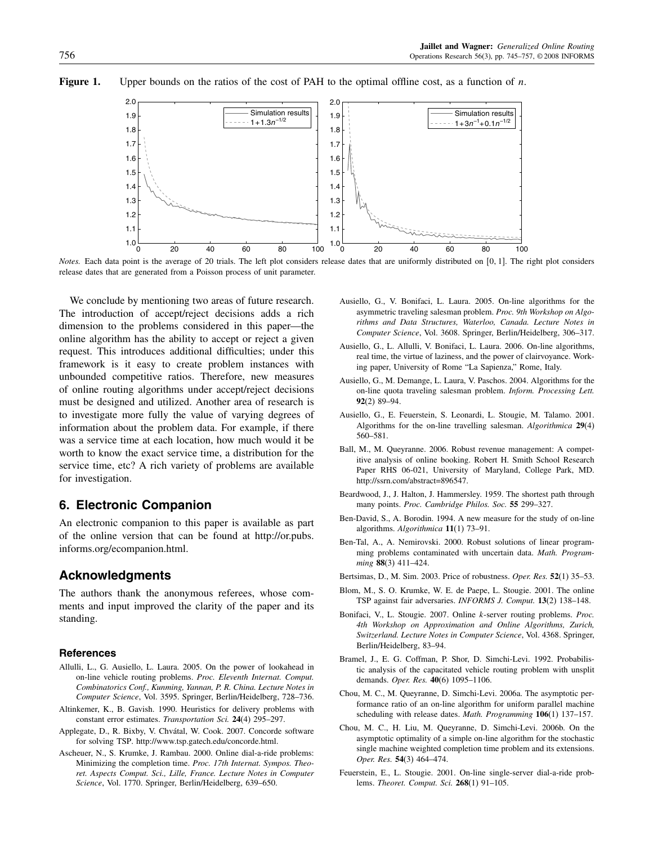

#### **Figure 1.** Upper bounds on the ratios of the cost of PAH to the optimal offline cost, as a function of n.

*Notes*. Each data point is the average of 20 trials. The left plot considers release dates that are uniformly distributed on  $[0, 1]$ . The right plot considers release dates that are generated from a Poisson process of unit parameter.

We conclude by mentioning two areas of future research. The introduction of accept/reject decisions adds a rich dimension to the problems considered in this paper—the online algorithm has the ability to accept or reject a given request. This introduces additional difficulties; under this framework is it easy to create problem instances with unbounded competitive ratios. Therefore, new measures of online routing algorithms under accept/reject decisions must be designed and utilized. Another area of research is to investigate more fully the value of varying degrees of information about the problem data. For example, if there was a service time at each location, how much would it be worth to know the exact service time, a distribution for the service time, etc? A rich variety of problems are available for investigation.

# 6. Electronic Companion

An electronic companion to this paper is available as part of the online version that can be found at http://or.pubs. informs.org/ecompanion.html.

## Acknowledgments

The authors thank the anonymous referees, whose comments and input improved the clarity of the paper and its standing.

#### References

- Allulli, L., G. Ausiello, L. Laura. 2005. On the power of lookahead in on-line vehicle routing problems. Proc. Eleventh Internat. Comput. Combinatorics Conf., Kunming, Yannan, P. R. China. Lecture Notes in Computer Science, Vol. 3595. Springer, Berlin/Heidelberg, 728–736.
- Altinkemer, K., B. Gavish. 1990. Heuristics for delivery problems with constant error estimates. Transportation Sci. 24(4) 295–297.
- Applegate, D., R. Bixby, V. Chvátal, W. Cook. 2007. Concorde software for solving TSP. http://www.tsp.gatech.edu/concorde.html.
- Ascheuer, N., S. Krumke, J. Rambau. 2000. Online dial-a-ride problems: Minimizing the completion time. Proc. 17th Internat. Sympos. Theoret. Aspects Comput. Sci., Lille, France. Lecture Notes in Computer Science, Vol. 1770. Springer, Berlin/Heidelberg, 639–650.
- Ausiello, G., V. Bonifaci, L. Laura. 2005. On-line algorithms for the asymmetric traveling salesman problem. Proc. 9th Workshop on Algorithms and Data Structures, Waterloo, Canada. Lecture Notes in Computer Science, Vol. 3608. Springer, Berlin/Heidelberg, 306–317.
- Ausiello, G., L. Allulli, V. Bonifaci, L. Laura. 2006. On-line algorithms, real time, the virtue of laziness, and the power of clairvoyance. Working paper, University of Rome "La Sapienza," Rome, Italy.
- Ausiello, G., M. Demange, L. Laura, V. Paschos. 2004. Algorithms for the on-line quota traveling salesman problem. Inform. Processing Lett. 92(2) 89–94.
- Ausiello, G., E. Feuerstein, S. Leonardi, L. Stougie, M. Talamo. 2001. Algorithms for the on-line travelling salesman. Algorithmica 29(4) 560–581.
- Ball, M., M. Queyranne. 2006. Robust revenue management: A competitive analysis of online booking. Robert H. Smith School Research Paper RHS 06-021, University of Maryland, College Park, MD. http://ssrn.com/abstract=896547.
- Beardwood, J., J. Halton, J. Hammersley. 1959. The shortest path through many points. Proc. Cambridge Philos. Soc. 55 299–327.
- Ben-David, S., A. Borodin. 1994. A new measure for the study of on-line algorithms. Algorithmica 11(1) 73–91.
- Ben-Tal, A., A. Nemirovski. 2000. Robust solutions of linear programming problems contaminated with uncertain data. Math. Programming 88(3) 411–424.
- Bertsimas, D., M. Sim. 2003. Price of robustness. Oper. Res. 52(1) 35–53.
- Blom, M., S. O. Krumke, W. E. de Paepe, L. Stougie. 2001. The online TSP against fair adversaries. INFORMS J. Comput. 13(2) 138–148.
- Bonifaci, V., L. Stougie. 2007. Online k-server routing problems. Proc. 4th Workshop on Approximation and Online Algorithms, Zurich, Switzerland. Lecture Notes in Computer Science, Vol. 4368. Springer, Berlin/Heidelberg, 83–94.
- Bramel, J., E. G. Coffman, P. Shor, D. Simchi-Levi. 1992. Probabilistic analysis of the capacitated vehicle routing problem with unsplit demands. Oper. Res. 40(6) 1095-1106.
- Chou, M. C., M. Queyranne, D. Simchi-Levi. 2006a. The asymptotic performance ratio of an on-line algorithm for uniform parallel machine scheduling with release dates. Math. Programming 106(1) 137-157.
- Chou, M. C., H. Liu, M. Queyranne, D. Simchi-Levi. 2006b. On the asymptotic optimality of a simple on-line algorithm for the stochastic single machine weighted completion time problem and its extensions. Oper. Res. 54(3) 464–474.
- Feuerstein, E., L. Stougie. 2001. On-line single-server dial-a-ride problems. Theoret. Comput. Sci. 268(1) 91–105.